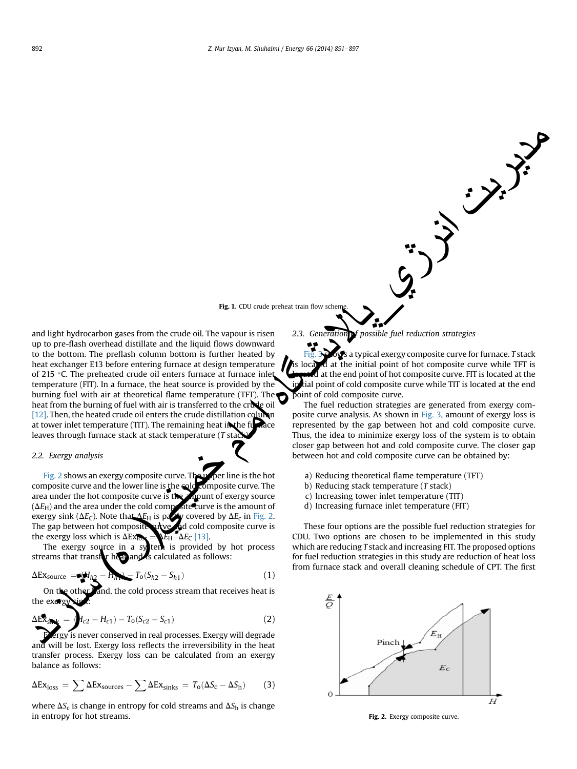Fig. 1. CDU crude preheat train flow scher

and light hydrocarbon gases from the crude oil. The vapour is risen up to pre-flash overhead distillate and the liquid flows downward to the bottom. The preflash column bottom is further heated by heat exchanger E13 before entering furnace at design temperature of 215 °C. The preheated crude oil enters furnace at furnace inlet temperature (FIT). In a furnace, the heat source is provided by the burning fuel with air at theoretical flame temperature (TFT). The heat from the burning of fuel with air is transferred to the crude oil [\[12\].](#page-6-0) Then, the heated crude oil enters the crude distillation column at tower inlet temperature (TIT). The remaining heat in the furnace leaves through furnace stack at stack temperature  $(T<sub>st</sub>)$ and tight hydrocarbon gases from the crude oil. Cut once preven than show above the bottom.<br>
The previous of the bottom, but perfiles the control oil and the liquid flows downward<br>
to the bottom. The president column bott

## 2.2. Exergy analysis

Fig. 2 shows an exergy composite curve. The upper line is the hot composite curve and the lower line is the cold composite curve. The area under the hot composite curve is the amount of exergy source ( $\Delta E_{\rm H}$ ) and the area under the cold composite curve is the amount of exergy sink ( $\Delta E_{\text{C}}$ ). Note that  $\Delta E_{\text{H}}$  is partly covered by  $\Delta E_{\text{C}}$  in Fig. 2. The gap between hot composite vulve and cold composite curve is

the exergy loss which is  $\Delta Ex_{\text{DS}} = \sum_{E_H} E_H - \Delta E_C$  [\[13\]](#page-6-0).<br>The exergy source in a system is provided ten is provided by hot process streams that transfer heat and is calculated as follows:

$$
\Delta Ex_{\text{source}} = \langle H_{h2} - H_{h1} \rangle - T_0 (S_{h2} - S_{h1}) \tag{1}
$$

other and, the cold process stream that receives heat is the exergy

$$
\Delta E \hat{\mathbf{x}}_{s} = \mathbf{H}_{c2} - H_{c1} - T_0(S_{c2} - S_{c1})
$$
\n(2)

Exergy is never conserved in real processes. Exergy will degrade and will be lost. Exergy loss reflects the irreversibility in the heat transfer process. Exergy loss can be calculated from an exergy balance as follows:

$$
\Delta Ex_{loss} = \sum \Delta Ex_{sources} - \sum \Delta Ex_{sinks} = T_0(\Delta S_c - \Delta S_h)
$$
 (3)

where  $\Delta S_c$  is change in entropy for cold streams and  $\Delta S_h$  is change in entropy for hot streams.

2.3. Generation of possible fuel reduction strategies

a typical exergy composite curve for furnace. T stack is located at the initial point of hot composite curve while TFT is  $\overline{d}$  at the end point of hot composite curve. FIT is located at the in tial point of cold composite curve while TIT is located at the end point of cold composite curve.

**Crude Furnace**

 $\left\{\cdot\right\}$ 

The fuel reduction strategies are generated from exergy composite curve analysis. As shown in [Fig. 3](#page-2-0), amount of exergy loss is represented by the gap between hot and cold composite curve. Thus, the idea to minimize exergy loss of the system is to obtain closer gap between hot and cold composite curve. The closer gap between hot and cold composite curve can be obtained by:

- a) Reducing theoretical flame temperature (TFT)
- b) Reducing stack temperature (T stack)
- c) Increasing tower inlet temperature (TIT)
- d) Increasing furnace inlet temperature (FIT)

These four options are the possible fuel reduction strategies for CDU. Two options are chosen to be implemented in this study which are reducing T stack and increasing FIT. The proposed options for fuel reduction strategies in this study are reduction of heat loss from furnace stack and overall cleaning schedule of CPT. The first



Fig. 2. Exergy composite curve.